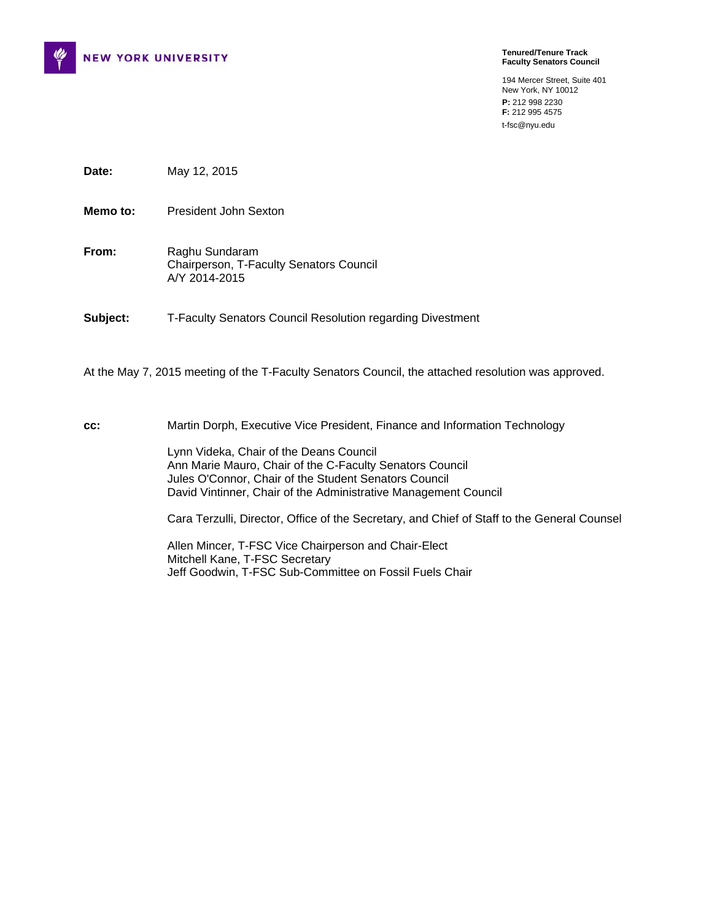

**Tenured/Tenure Track Faculty Senators Council** 

194 Mercer Street, Suite 401 New York, NY 10012 **P:** 212 998 2230 **F:** 212 995 4575 t-fsc@nyu.edu

**Date:** May 12, 2015

**Memo to:** President John Sexton

**From:** Raghu Sundaram Chairperson, T-Faculty Senators Council A/Y 2014-2015

**Subject:** T-Faculty Senators Council Resolution regarding Divestment

At the May 7, 2015 meeting of the T-Faculty Senators Council, the attached resolution was approved.

**cc:** Martin Dorph, Executive Vice President, Finance and Information Technology

Lynn Videka, Chair of the Deans Council Ann Marie Mauro, Chair of the C-Faculty Senators Council Jules O'Connor, Chair of the Student Senators Council David Vintinner, Chair of the Administrative Management Council

Cara Terzulli, Director, Office of the Secretary, and Chief of Staff to the General Counsel

Allen Mincer, T-FSC Vice Chairperson and Chair-Elect Mitchell Kane, T-FSC Secretary Jeff Goodwin, T-FSC Sub-Committee on Fossil Fuels Chair